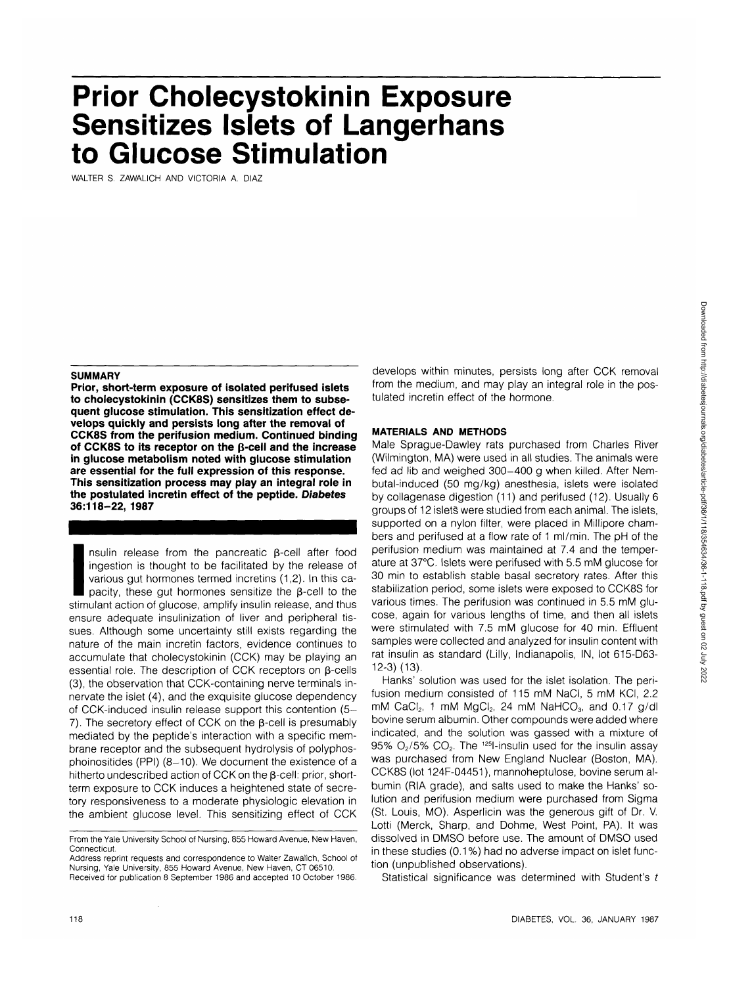# **Prior Cholecystokinin Exposure Sensitizes Islets of Langerhans to Glucose Stimulation**

WALTER S. ZAWALICH AND VICTORIA A. DIAZ

## **SUMMARY**

**Prior, short-term exposure of isolated perifused islets to cholecystokinin (CCK8S) sensitizes them to subsequent glucose stimulation. This sensitization effect develops quickly and persists long after the removal of CCK8S from the perifusion medium. Continued binding of CCK8S to its receptor on the p-cell and the increase in glucose metabolism noted with glucose stimulation are essential for the full expression of this response. This sensitization process may play an integral role in the postulated incretin effect of the peptide. Diabetes 36:118-22, 1987**

 $\frac{1}{36:11}$ <br>
In the true positive stimule ensure nsulin release from the pancreatic  $\beta$ -cell after food ingestion is thought to be facilitated by the release of various gut hormones termed incretins (1,2). In this capacity, these gut hormones sensitize the B-cell to the stimulant action of glucose, amplify insulin release, and thus ensure adequate insulinization of liver and peripheral tissues. Although some uncertainty still exists regarding the nature of the main incretin factors, evidence continues to accumulate that cholecystokinin (CCK) may be playing an essential role. The description of CCK receptors on  $\beta$ -cells (3), the observation that CCK-containing nerve terminals innervate the islet (4), and the exquisite glucose dependency of CCK-induced insulin release support this contention (5- 7). The secretory effect of CCK on the  $\beta$ -cell is presumably mediated by the peptide's interaction with a specific membrane receptor and the subsequent hydrolysis of polyphosphoinositides (PPI)  $(8-10)$ . We document the existence of a hitherto undescribed action of CCK on the  $\beta$ -cell: prior, shortterm exposure to CCK induces a heightened state of secretory responsiveness to a moderate physiologic elevation in the ambient glucose level. This sensitizing effect of CCK develops within minutes, persists long after CCK removal from the medium, and may play an integral role in the postulated incretin effect of the hormone.

#### **MATERIALS AND METHODS**

Male Sprague-Dawley rats purchased from Charles River (Wilmington, MA) were used in all studies. The animals were fed ad lib and weighed 300-400 g when killed. After Nembutal-induced (50 mg/kg) anesthesia, islets were isolated by collagenase digestion (11) and perifused (12). Usually 6 groups of 12 islets were studied from each animal. The islets, supported on a nylon filter, were placed in Millipore chambers and perifused at a flow rate of 1 ml/min. The pH of the perifusion medium was maintained at 7.4 and the temperature at 37°C. Islets were perifused with 5.5 mM glucose for 30 min to establish stable basal secretory rates. After this stabilization period, some islets were exposed to CCK8S for various times. The perifusion was continued in 5.5 mM glucose, again for various lengths of time, and then all islets were stimulated with 7.5 mM glucose for 40 min. Effluent samples were collected and analyzed for insulin content with rat insulin as standard (Lilly, Indianapolis, IN, lot 615-D63- 12-3) (13).

Hanks' solution was used for the islet isolation. The perifusion medium consisted of 115 mM NaCI, 5 mM KCI, 2.2 mM CaCI<sub>2</sub>, 1 mM MgCI<sub>2</sub>, 24 mM NaHCO<sub>3</sub>, and 0.17 g/dl bovine serum albumin. Other compounds were added where indicated, and the solution was gassed with a mixture of 95%  $O<sub>2</sub>/5$ %  $CO<sub>2</sub>$ . The <sup>125</sup>l-insulin used for the insulin assay was purchased from New England Nuclear (Boston, MA). CCK8S (lot 124F-04451), mannoheptulose, bovine serum albumin (RIA grade), and salts used to make the Hanks' solution and perifusion medium were purchased from Sigma (St. Louis, MO). Asperlicin was the generous gift of Dr. V. Lotti (Merck, Sharp, and Dohme, West Point, PA). It was dissolved in DMSO before use. The amount of DMSO used in these studies (0.1 %) had no adverse impact on islet function (unpublished observations).

Statistical significance was determined with Student's t

From the Yale University School of Nursing, 855 Howard Avenue, New Haven, Connecticut.

Address reprint requests and correspondence to Walter Zawalich, School of Nursing, Yale University, 855 Howard Avenue, New Haven, CT 06510. Received for publication 8 September 1986 and accepted 10 October 1986.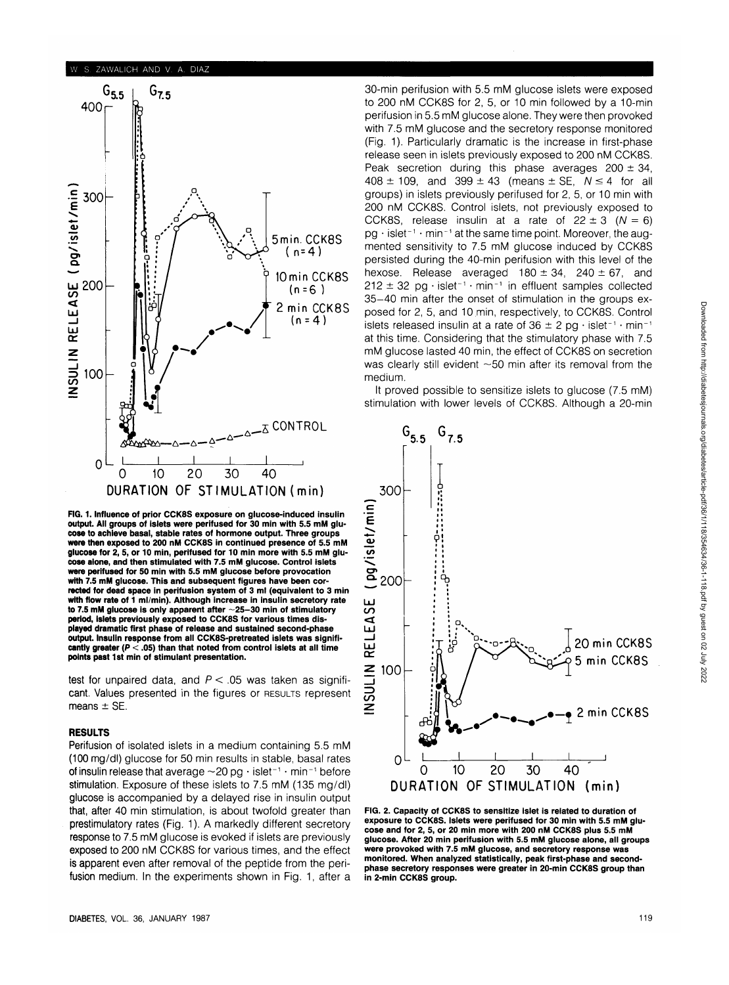

**FIG. 1. Influence of prior CCK8S exposure on glucose-induced insulin output. All groups of islets were perifused for 30 min with 5.5 mM glucose to achieve basal, stable rates of hormone output. Three groups were then exposed to 200 nM CCK8S in continued presence of 5.5 mM glucose for 2, 5, or 10 min, perifused for 10 min more with 5.5 mM glucose alone, and then stimulated with 7.5 mM glucose. Control islets were perifused for 50 min with 5.5 mM glucose before provocation with 7.5 mM glucose. This and subsequent figures have been corrected for dead space in perifusion system of 3 ml (equivalent to 3 min with flow rate of 1 ml/min). Although increase in insulin secretory rate** to 7.5 mM glucose is only apparent after ~25-30 min of stimulatory **period, islets previously exposed to CCK8S for various times displayed dramatic first phase of release and sustained second-phase output. Insulin response from all CCK8S-pretreated islets was significantly greater (P < .05) than that noted from control islets at all time points past 1st min of stimulant presentation.**

test for unpaired data, and  $P < 0.05$  was taken as significant. Values presented in the figures or RESULTS represent means  $\pm$  SE.

#### **RESULTS**

Perifusion of isolated islets in a medium containing 5.5 mM (100 mg/dl) glucose for 50 min results in stable, basal rates of insulin release that average  $\sim$  20 pg  $\cdot$  islet $^{-1}$   $\cdot$  min $^{-1}$  before stimulation. Exposure of these islets to 7.5 mM (135 mg/dl) glucose is accompanied by a delayed rise in insulin output that, after 40 min stimulation, is about twofold greater than prestimulatory rates (Fig. 1). A markedly different secretory response to 7.5 mM glucose is evoked if islets are previously exposed to 200 nM CCK8S for various times, and the effect is apparent even after removal of the peptide from the perifusion medium. In the experiments shown in Fig. 1, after a 30-min perifusion with 5.5 mM glucose islets were exposed to 200 nM CCK8S for 2, 5, or 10 min followed by a 10-min perifusion in 5.5 mM glucose alone. They were then provoked with 7.5 mM glucose and the secretory response monitored (Fig. 1). Particularly dramatic is the increase in first-phase release seen in islets previously exposed to 200 nM CCK8S. Peak secretion during this phase averages  $200 \pm 34$ ,  $408 \pm 109$ , and  $399 \pm 43$  (means  $\pm$  SE,  $N \le 4$  for all groups) in islets previously perifused for 2, 5, or 10 min with 200 nM CCK8S. Control islets, not previously exposed to CCK8S, release insulin at a rate of  $22 \pm 3$  ( $N = 6$ )  $pg \cdot islet^{-1} \cdot min^{-1}$  at the same time point. Moreover, the augmented sensitivity to 7.5 mM glucose induced by CCK8S persisted during the 40-min perifusion with this level of the hexose. Release averaged  $180 \pm 34$ , 240  $\pm 67$ , and  $212 \pm 32$  pg·islet<sup>-1</sup>·min<sup>-1</sup> in effluent samples collected 35-40 min after the onset of stimulation in the groups exposed for 2, 5, and 10 min, respectively, to CCK8S. Control islets released insulin at a rate of 36  $\pm$  2 pg  $\cdot$  islet<sup>-1</sup>  $\cdot$  min<sup>-1</sup> at this time. Considering that the stimulatory phase with 7.5 mM glucose lasted 40 min, the effect of CCK8S on secretion was clearly still evident  $\sim$  50 min after its removal from the medium.

It proved possible to sensitize islets to glucose (7.5 mM) stimulation with lower levels of CCK8S. Although a 20-min



**FIG. 2. Capacity of CCK8S to sensitize islet is related to duration of exposure to CCK8S. Islets were perifused for 30 min with 5.5 mM glucose and for 2, 5, or 20 min more with 200 nM CCK8S plus 5.5 mM glucose. After 20 min perifusion with 5.5 mM glucose alone, all groups were provoked with 7.5 mM glucose, and secretory response was monitored. When analyzed statistically, peak first-phase and secondphase secretory responses were greater in 20-min CCK8S group than in 2-min CCK8S group.**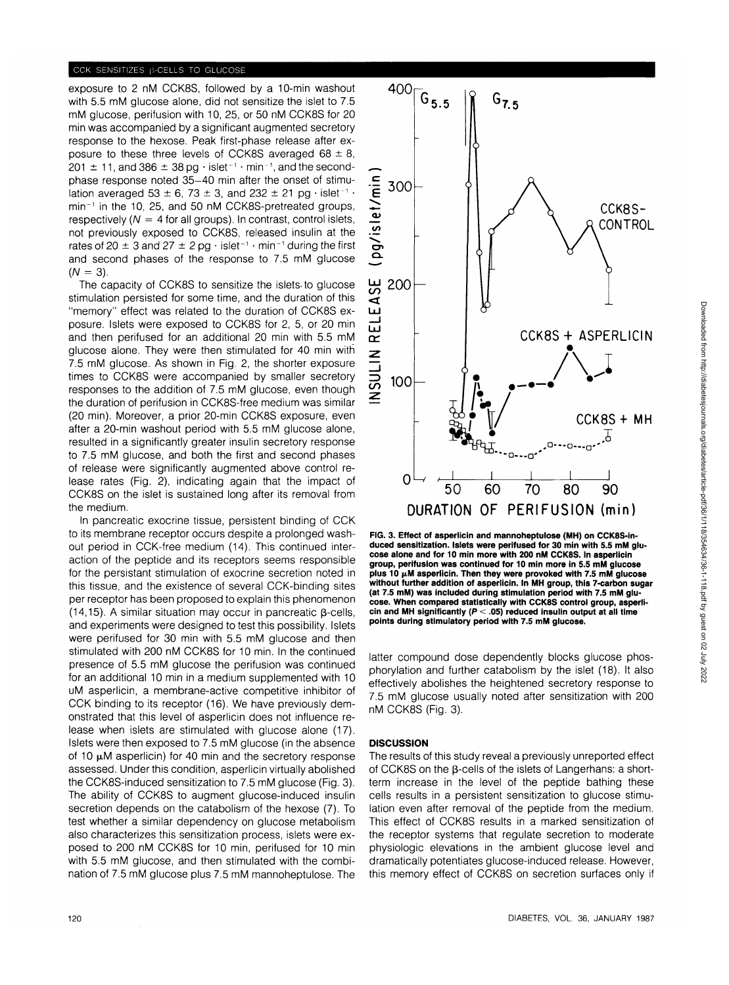## CCK SENSITIZES B-CELLS TO GLUCOSE

exposure to 2 nM CCK8S, followed by a 10-min washout with 5.5 mM glucose alone, did not sensitize the islet to 7.5 mM glucose, perifusion with 10, 25, or 50 nM CCK8S for 20 min was accompanied by a significant augmented secretory response to the hexose. Peak first-phase release after exposure to these three levels of CCK8S averaged  $68 \pm 8$ ,  $201 \pm 11$ , and  $386 \pm 38$  pg  $\cdot$  islet<sup>-1</sup>  $\cdot$  min<sup>-1</sup>, and the secondphase response noted 35-40 min after the onset of stimulation averaged 53  $\pm$  6, 73  $\pm$  3, and 232  $\pm$  21 pg  $\cdot$  islet<sup>-1</sup>  $\cdot$ min<sup>-1</sup> in the 10, 25, and 50 nM CCK8S-pretreated groups, respectively ( $N = 4$  for all groups). In contrast, control islets, not previously exposed to CCK8S, released insulin at the rates of 20  $\pm$  3 and 27  $\pm$  2 pg  $\cdot$  islet<sup>-1</sup>  $\cdot$  min<sup>-1</sup> during the first and second phases of the response to 7.5 mM glucose  $(N = 3)$ .

The capacity of CCK8S to sensitize the islets-to glucose stimulation persisted for some time, and the duration of this "memory" effect was related to the duration of CCK8S exposure. Islets were exposed to CCK8S for 2, 5, or 20 min and then perifused for an additional 20 min with 5.5 mM glucose alone. They were then stimulated for 40 min with 7.5 mM glucose. As shown in Fig. 2, the shorter exposure times to CCK8S were accompanied by smaller secretory responses to the addition of 7.5 mM glucose, even though the duration of perifusion in CCK8S-free medium was similar (20 min). Moreover, a prior 20-min CCK8S exposure, even after a 20-min washout period with 5.5 mM glucose alone, resulted in a significantly greater insulin secretory response to 7.5 mM glucose, and both the first and second phases of release were significantly augmented above control release rates (Fig. 2), indicating again that the impact of CCK8S on the islet is sustained long after its removal from the medium.

In pancreatic exocrine tissue, persistent binding of CCK to its membrane receptor occurs despite a prolonged washout period in CCK-free medium (14). This continued interaction of the peptide and its receptors seems responsible for the persistant stimulation of exocrine secretion noted in this tissue, and the existence of several CCK-binding sites per receptor has been proposed to explain this phenomenon (14,15). A similar situation may occur in pancreatic  $\beta$ -cells, and experiments were designed to test this possibility. Islets were perifused for 30 min with 5.5 mM glucose and then stimulated with 200 nM CCK8S for 10 min. In the continued presence of 5.5 mM glucose the perifusion was continued for an additional 10 min in a medium supplemented with 10 uM asperlicin, a membrane-active competitive inhibitor of CCK binding to its receptor (16). We have previously demonstrated that this level of asperlicin does not influence release when islets are stimulated with glucose alone (17). Islets were then exposed to 7.5 mM glucose (in the absence of 10  $\mu$ M asperlicin) for 40 min and the secretory response assessed. Under this condition, asperlicin virtually abolished the CCK8S-induced sensitization to 7.5 mM glucose (Fig. 3). The ability of CCK8S to augment glucose-induced insulin secretion depends on the catabolism of the hexose (7). To test whether a similar dependency on glucose metabolism also characterizes this sensitization process, islets were exposed to 200 nM CCK8S for 10 min, perifused for 10 min with 5.5 mM glucose, and then stimulated with the combination of 7.5 mM glucose plus 7.5 mM mannoheptulose. The



**FIG. 3. Effect of asperlicin and mannoheptulose (MH) on CCK8S-induced sensitization. Islets were perifused for 30 min with 5.5 mM glucose alone and for 10 min more with 200 nM CCK8S. In asperlicin group, perifusion was continued for 10 min more in 5.5 mM glucose** plus 10  $\mu$ M asperlicin. Then they were provoked with 7.5 mM glucose<br>without further addition of asperlicin. In MH group, this 7-carbon sugar **(at 7.5 mM) was included during stimulation period with 7.5 mM glu-cose. When compared statistically with CCK8S control group, asperlicin and MH significantly (P < .05) reduced insulin output at all time points during stimulatory period with 7.5 mM glucose.**

latter compound dose dependently blocks glucose phosphorylation and further catabolism by the islet (18). It also effectively abolishes the heightened secretory response to 7.5 mM glucose usually noted after sensitization with 200 nM CCK8S (Fig. 3).

### **DISCUSSION**

The results of this study reveal a previously unreported effect of CCK8S on the B-cells of the islets of Langerhans: a shortterm increase in the level of the peptide bathing these cells results in a persistent sensitization to glucose stimulation even after removal of the peptide from the medium. This effect of CCK8S results in a marked sensitization of the receptor systems that regulate secretion to moderate physiologic elevations in the ambient glucose level and dramatically potentiates glucose-induced release. However, this memory effect of CCK8S on secretion surfaces only if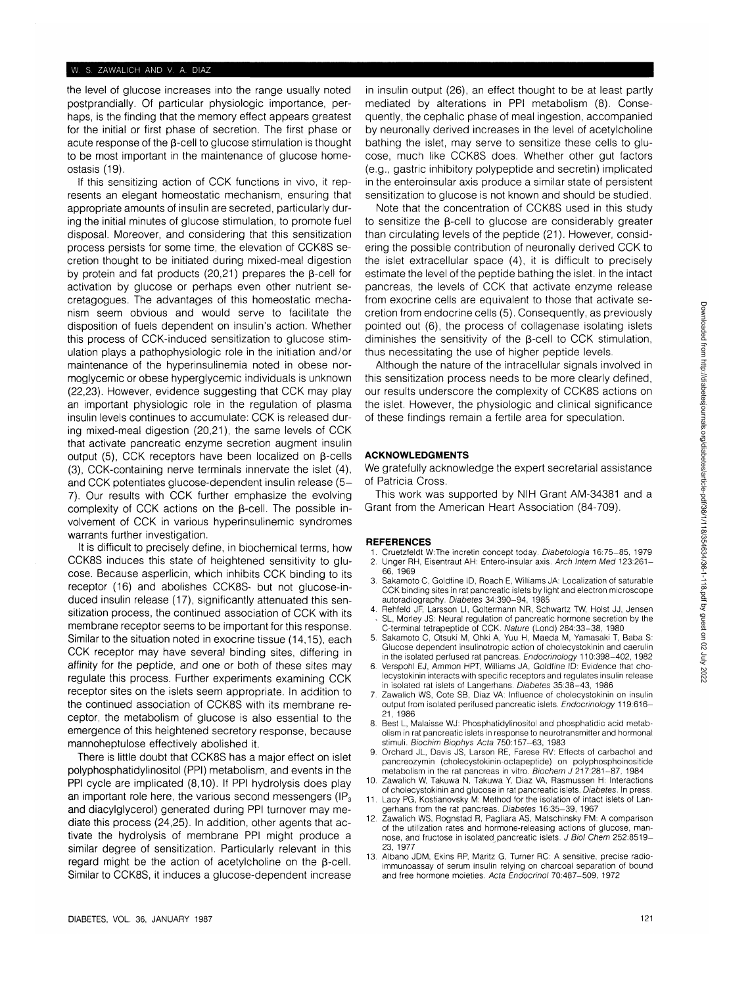the level of glucose increases into the range usually noted postprandially. Of particular physiologic importance, perhaps, is the finding that the memory effect appears greatest for the initial or first phase of secretion. The first phase or acute response of the  $\beta$ -cell to glucose stimulation is thought to be most important in the maintenance of glucose homeostasis (19).

If this sensitizing action of CCK functions in vivo, it represents an elegant homeostatic mechanism, ensuring that appropriate amounts of insulin are secreted, particularly during the initial minutes of glucose stimulation, to promote fuel disposal. Moreover, and considering that this sensitization process persists for some time, the elevation of CCK8S secretion thought to be initiated during mixed-meal digestion by protein and fat products (20,21) prepares the  $\beta$ -cell for activation by glucose or perhaps even other nutrient secretagogues. The advantages of this homeostatic mechanism seem obvious and would serve to facilitate the disposition of fuels dependent on insulin's action. Whether this process of CCK-induced sensitization to glucose stimulation plays a pathophysiologic role in the initiation and/or maintenance of the hyperinsulinemia noted in obese normoglycemic or obese hyperglycemic individuals is unknown (22,23). However, evidence suggesting that CCK may play an important physiologic role in the regulation of plasma insulin levels continues to accumulate: CCK is released during mixed-meal digestion (20,21), the same levels of CCK that activate pancreatic enzyme secretion augment insulin output (5), CCK receptors have been localized on  $\beta$ -cells (3), CCK-containing nerve terminals innervate the islet (4), and CCK potentiates glucose-dependent insulin release (5- 7). Our results with CCK further emphasize the evolving complexity of CCK actions on the  $\beta$ -cell. The possible involvement of CCK in various hyperinsulinemic syndromes warrants further investigation.

It is difficult to precisely define, in biochemical terms, how CCK8S induces this state of heightened sensitivity to glucose. Because asperlicin, which inhibits CCK binding to its receptor (16) and abolishes CCK8S- but not glucose-induced insulin release (17), significantly attenuated this sensitization process, the continued association of CCK with its membrane receptor seems to be important for this response. Similar to the situation noted in exocrine tissue (14,15), each CCK receptor may have several binding sites, differing in affinity for the peptide, and one or both of these sites may regulate this process. Further experiments examining CCK receptor sites on the islets seem appropriate. In addition to the continued association of CCK8S with its membrane receptor, the metabolism of glucose is also essential to the emergence of this heightened secretory response, because mannoheptulose effectively abolished it.

There is little doubt that CCK8S has a major effect on islet polyphosphatidylinositol (PPI) metabolism, and events in the PPI cycle are implicated (8,10). If PPI hydrolysis does play an important role here, the various second messengers ( $IP<sub>3</sub>$ ) and diacylglycerol) generated during PPI turnover may mediate this process (24,25). In addition, other agents that activate the hydrolysis of membrane PPI might produce a similar degree of sensitization. Particularly relevant in this regard might be the action of acetylcholine on the  $\beta$ -cell. Similar to CCK8S, it induces a glucose-dependent increase

in insulin output (26), an effect thought to be at least partly mediated by alterations in PPI metabolism (8). Consequently, the cephalic phase of meal ingestion, accompanied by neuronally derived increases in the level of acetylcholine bathing the islet, may serve to sensitize these cells to glucose, much like CCK8S does. Whether other gut factors (e.g., gastric inhibitory polypeptide and secretin) implicated in the enteroinsular axis produce a similar state of persistent sensitization to glucose is not known and should be studied.

Note that the concentration of CCK8S used in this study to sensitize the  $\beta$ -cell to glucose are considerably greater than circulating levels of the peptide (21). However, considering the possible contribution of neuronally derived CCK to the islet extracellular space (4), it is difficult to precisely estimate the level of the peptide bathing the islet. In the intact pancreas, the levels of CCK that activate enzyme release from exocrine cells are equivalent to those that activate secretion from endocrine cells (5). Consequently, as previously pointed out (6), the process of collagenase isolating islets diminishes the sensitivity of the  $\beta$ -cell to CCK stimulation, thus necessitating the use of higher peptide levels.

Although the nature of the intracellular signals involved in this sensitization process needs to be more clearly defined, our results underscore the complexity of CCK8S actions on the islet. However, the physiologic and clinical significance of these findings remain a fertile area for speculation.

### **ACKNOWLEDGMENTS**

We gratefully acknowledge the expert secretarial assistance of Patricia Cross.

This work was supported by NIH Grant AM-34381 and a Grant from the American Heart Association (84-709).

#### **REFERENCES**

- 1. Cruetzfeldt W:The incretin concept today. Diabetologia 16:75-85, 1979 Unger RH, Eisentraut AH: Entero-insular axis. Arch Intern Med 123:261-
- 66,1969
- 3. Sakamoto C, Goldfine ID, Roach E, Williams JA: Localization of saturable CCK binding sites in rat pancreatic islets by light and electron microscope autoradiography. Diabetes 34:390-94, 1985
- 4. Rehfeld JF, Larsson LI, Goltermann NR, Schwartz TW, Hoist JJ, Jensen SL, Morley JS: Neural regulation of pancreatic hormone secretion by the C-terminal tetrapeptide of CCK. Nature (Lond) 284:33-38, 1980
- 5. Sakamoto C, Otsuki M, Ohki A, Yuu H, Maeda M, Yamasaki T, Baba S: Glucose dependent insulinotropic action of cholecystokinin and caerulin in the isolated perfused rat pancreas. Endocrinology 110:398-402, 1982
- 6. Verspohl EJ, Ammon HPT, Williams JA, Goldfine ID: Evidence that cholecystokinin interacts with specific receptors and regulates insulin release in isolated rat islets of Langerhans. Diabetes 35:38-43, 1986
- 7. Zawalich WS, Cote SB, Diaz VA: Influence of cholecystokinin on insulin output from isolated perifused pancreatic islets. Endocrinology 119:616- 21, 1986
- 8. Best L, Malaisse WJ: Phosphatidylinositol and phosphatidic acid metabolism in rat pancreatic islets in response to neurotransmitter and hormonal stimuli. Biochim Biophys Acta 750:157-63, 1983
- 9. Orchard JL, Davis JS, Larson RE, Farese RV: Effects of carbachol and pancreozymin (cholecystokinin-octapeptide) on polyphosphoinositide metabolism in the rat pancreas in vitro. Biochem J 217:281-87, 1984
- 10. Zawalich W, Takuwa N, Takuwa Y, Diaz VA, Rasmussen H: Interactions of cholecystokinin and glucose in rat pancreatic islets. Diabetes. In press.
- 11. Lacy PG, Kostianovsky M: Method for the isolation of intact islets of Langerhans from the rat pancreas. Diabetes 16:35-39, 1967
- 12. Zawalich WS, Rognstad R, Pagliara AS, Matschinsky FM: A comparison of the utilization rates and hormone-releasing actions of glucose, mannose, and fructose in isolated pancreatic islets. J Biol Chem 252:8519- 23,1977
- 13. Albano JDM, Ekins RP, Maritz G, Turner RC: A sensitive, precise radioimmunoassay of serum insulin relying on charcoal separation of bound and free hormone moieties. Acta Endocrinol 70:487-509, 1972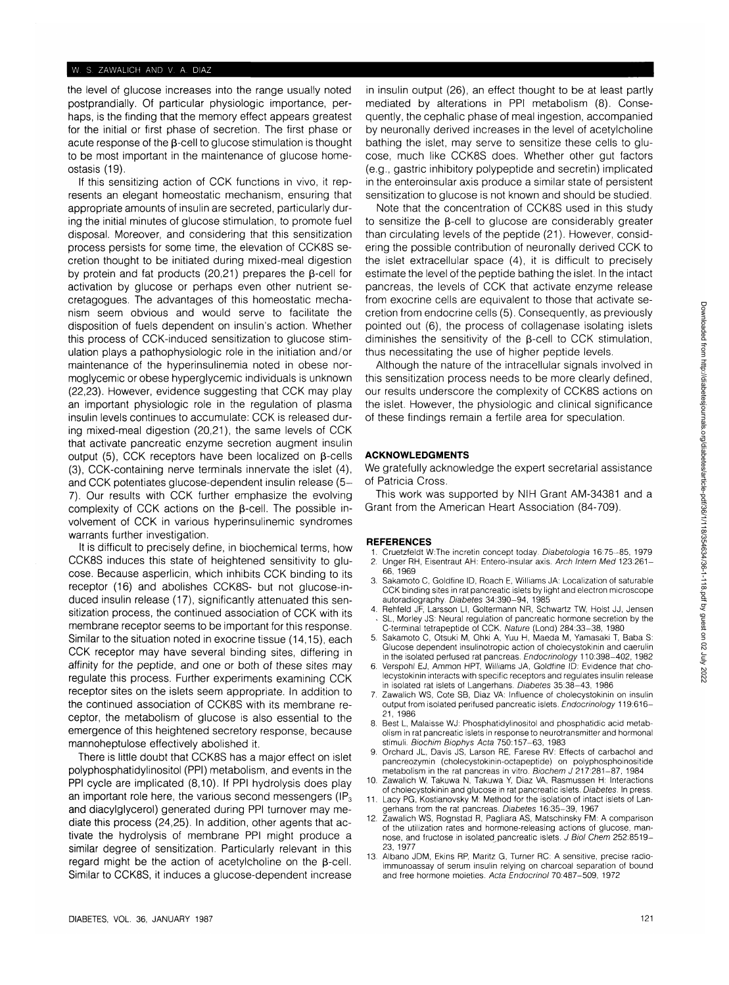the level of glucose increases into the range usually noted postprandially. Of particular physiologic importance, perhaps, is the finding that the memory effect appears greatest for the initial or first phase of secretion. The first phase or acute response of the  $\beta$ -cell to glucose stimulation is thought to be most important in the maintenance of glucose homeostasis (19).

If this sensitizing action of CCK functions in vivo, it represents an elegant homeostatic mechanism, ensuring that appropriate amounts of insulin are secreted, particularly during the initial minutes of glucose stimulation, to promote fuel disposal. Moreover, and considering that this sensitization process persists for some time, the elevation of CCK8S secretion thought to be initiated during mixed-meal digestion by protein and fat products (20,21) prepares the  $\beta$ -cell for activation by glucose or perhaps even other nutrient secretagogues. The advantages of this homeostatic mechanism seem obvious and would serve to facilitate the disposition of fuels dependent on insulin's action. Whether this process of CCK-induced sensitization to glucose stimulation plays a pathophysiologic role in the initiation and/or maintenance of the hyperinsulinemia noted in obese normoglycemic or obese hyperglycemic individuals is unknown (22,23). However, evidence suggesting that CCK may play an important physiologic role in the regulation of plasma insulin levels continues to accumulate: CCK is released during mixed-meal digestion (20,21), the same levels of CCK that activate pancreatic enzyme secretion augment insulin output (5), CCK receptors have been localized on  $\beta$ -cells (3), CCK-containing nerve terminals innervate the islet (4), and CCK potentiates glucose-dependent insulin release (5- 7). Our results with CCK further emphasize the evolving complexity of CCK actions on the  $\beta$ -cell. The possible involvement of CCK in various hyperinsulinemic syndromes warrants further investigation.

It is difficult to precisely define, in biochemical terms, how CCK8S induces this state of heightened sensitivity to glucose. Because asperlicin, which inhibits CCK binding to its receptor (16) and abolishes CCK8S- but not glucose-induced insulin release (17), significantly attenuated this sensitization process, the continued association of CCK with its membrane receptor seems to be important for this response. Similar to the situation noted in exocrine tissue (14,15), each CCK receptor may have several binding sites, differing in affinity for the peptide, and one or both of these sites may regulate this process. Further experiments examining CCK receptor sites on the islets seem appropriate. In addition to the continued association of CCK8S with its membrane receptor, the metabolism of glucose is also essential to the emergence of this heightened secretory response, because mannoheptulose effectively abolished it.

There is little doubt that CCK8S has a major effect on islet polyphosphatidylinositol (PPI) metabolism, and events in the PPI cycle are implicated (8,10). If PPI hydrolysis does play an important role here, the various second messengers ( $IP<sub>3</sub>$ ) and diacylglycerol) generated during PPI turnover may mediate this process (24,25). In addition, other agents that activate the hydrolysis of membrane PPI might produce a similar degree of sensitization. Particularly relevant in this regard might be the action of acetylcholine on the  $\beta$ -cell. Similar to CCK8S, it induces a glucose-dependent increase in insulin output (26), an effect thought to be at least partly mediated by alterations in PPI metabolism (8). Consequently, the cephalic phase of meal ingestion, accompanied by neuronally derived increases in the level of acetylcholine bathing the islet, may serve to sensitize these cells to glucose, much like CCK8S does. Whether other gut factors (e.g., gastric inhibitory polypeptide and secretin) implicated in the enteroinsular axis produce a similar state of persistent sensitization to glucose is not known and should be studied.

Note that the concentration of CCK8S used in this study to sensitize the  $\beta$ -cell to glucose are considerably greater than circulating levels of the peptide (21). However, considering the possible contribution of neuronally derived CCK to the islet extracellular space (4), it is difficult to precisely estimate the level of the peptide bathing the islet. In the intact pancreas, the levels of CCK that activate enzyme release from exocrine cells are equivalent to those that activate secretion from endocrine cells (5). Consequently, as previously pointed out (6), the process of collagenase isolating islets diminishes the sensitivity of the  $\beta$ -cell to CCK stimulation, thus necessitating the use of higher peptide levels.

Although the nature of the intracellular signals involved in this sensitization process needs to be more clearly defined, our results underscore the complexity of CCK8S actions on the islet. However, the physiologic and clinical significance of these findings remain a fertile area for speculation.

#### **ACKNOWLEDGMENTS**

We gratefully acknowledge the expert secretarial assistance of Patricia Cross.

This work was supported by NIH Grant AM-34381 and a Grant from the American Heart Association (84-709).

#### **REFERENCES**

- 1. Cruetzfeldt W:The incretin concept today. Diabetologia 16:75-85, 1979 Unger RH, Eisentraut AH: Entero-insular axis. Arch Intern Med 123:261-
- 66, 1969
- 3. Sakamoto C, Goldfine ID, Roach E, Williams JA: Localization of saturable CCK binding sites in rat pancreatic islets by light and electron microscope autoradiography. Diabetes 34:390-94, 1985
- 4. Rehfeld JF, Larsson LI, Goltermann NR, Schwartz TW, Hoist JJ, Jensen SL, Morley JS: Neural regulation of pancreatic hormone secretion by the C-terminal tetrapeptide of CCK. Nature (Lond) 284:33-38, 1980
- 5. Sakamoto C, Otsuki M, Ohki A, Yuu H, Maeda M, Yamasaki T, Baba S: Glucose dependent insulinotropic action of cholecystokinin and caerulin in the isolated perfused rat pancreas. Endocrinology 110:398-402, 1982
- Verspohl EJ, Ammon HPT, Williams JA, Goldfine ID: Evidence that cholecystokinin interacts with specific receptors and regulates insulin release in isolated rat islets of Langerhans. Diabetes 35:38-43, 1986
- 7. Zawalich WS, Cote SB, Diaz VA: Influence of cholecystokinin on insulin output from isolated perifused pancreatic islets. Endocrinology 119:616— 21, 1986
- 8. Best L, Malaisse WJ: Phosphatidylinositol and phosphatidic acid metabolism in rat pancreatic islets in response to neurotransmitter and hormonal stimuli. Biochim Biophys Acta 750:157-63, 1983
- 9. Orchard JL, Davis JS, Larson RE, Farese RV: Effects of carbachol and pancreozymin (cholecystokinin-octapeptide) on polyphosphoinositide metabolism in the rat pancreas in vitro. Biochem J 217:281-87, 1984
- 10. Zawalich W, Takuwa N, Takuwa Y, Diaz VA, Rasmussen H: Interactions of cholecystokinin and glucose in rat pancreatic islets. Diabetes. In press.
- 11. Lacy PG, Kostianovsky M: Method for the isolation of intact islets of Langerhans from the rat pancreas. Diabetes 16:35-39, 1967 12. Zawalich WS, Rognstad R, Pagliara AS, Matschinsky FM: A comparison
- of the utilization rates and hormone-releasing actions of glucose, mannose, and fructose in isolated pancreatic islets. J Biol Chem 252:8519-23,1977
- 13. Albano JDM, Ekins RP, Maritz G, Turner RC: A sensitive, precise radioimmunoassay of serum insulin relying on charcoal separation of bound and free hormone moieties. Acta Endocrinol 70:487-509, 1972